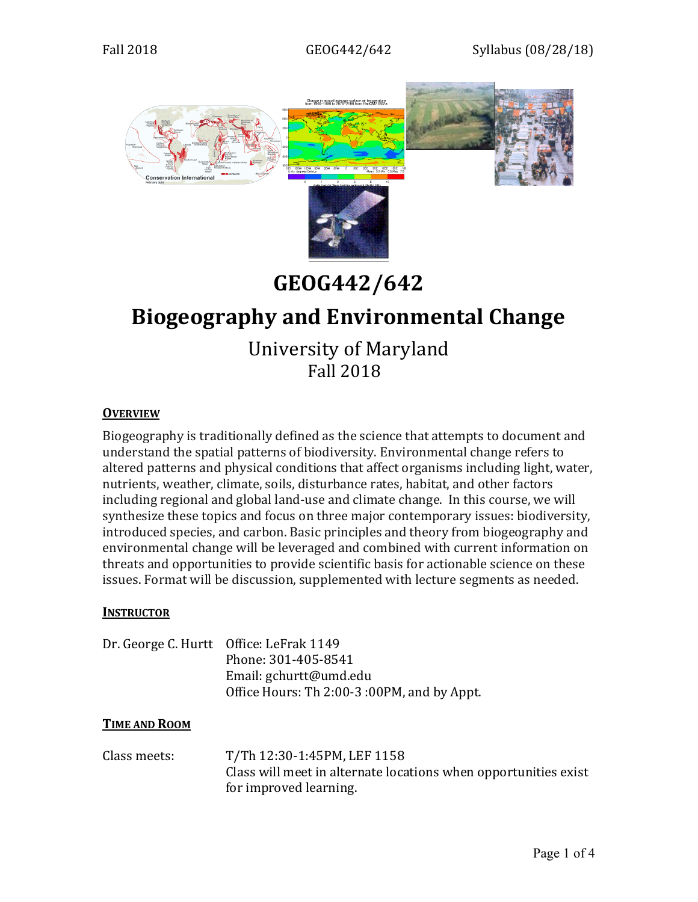

# **GEOG442/642**

## **Biogeography and Environmental Change**

University of Maryland Fall 2018

## **OVERVIEW**

Biogeography is traditionally defined as the science that attempts to document and understand the spatial patterns of biodiversity. Environmental change refers to altered patterns and physical conditions that affect organisms including light, water, nutrients, weather, climate, soils, disturbance rates, habitat, and other factors including regional and global land-use and climate change. In this course, we will synthesize these topics and focus on three major contemporary issues: biodiversity, introduced species, and carbon. Basic principles and theory from biogeography and environmental change will be leveraged and combined with current information on threats and opportunities to provide scientific basis for actionable science on these issues. Format will be discussion, supplemented with lecture segments as needed.

#### **INSTRUCTOR**

| Dr. George C. Hurtt Office: LeFrak 1149     |
|---------------------------------------------|
| Phone: 301-405-8541                         |
| Email: gchurtt@umd.edu                      |
| Office Hours: Th 2:00-3 :00PM, and by Appt. |

#### **TIME AND ROOM**

Class meets: T/Th 12:30-1:45PM, LEF 1158 Class will meet in alternate locations when opportunities exist for improved learning.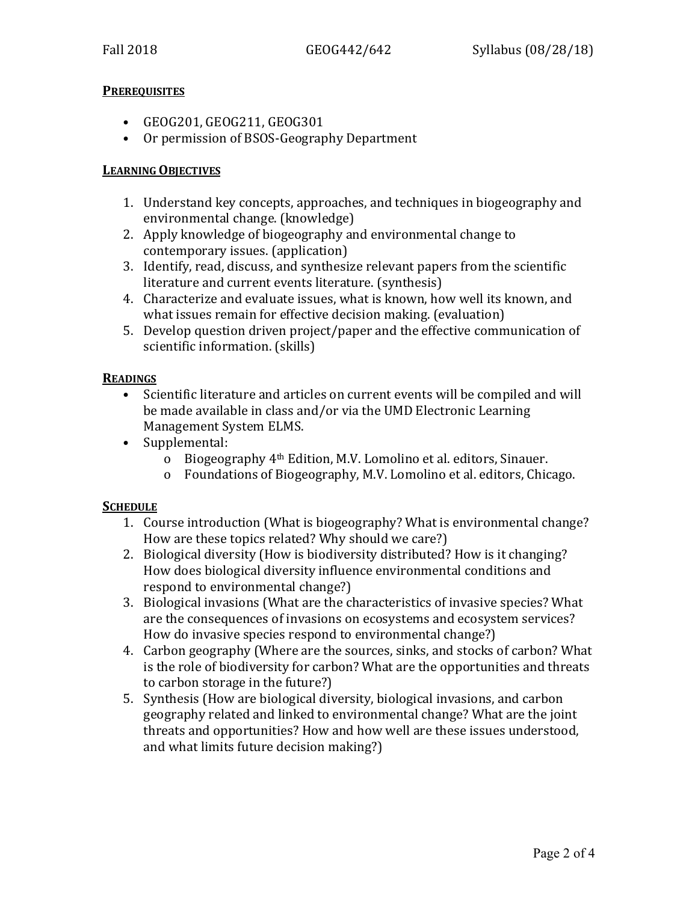## **PREREQUISITES**

- GEOG201, GEOG211, GEOG301
- Or permission of BSOS-Geography Department

#### **LEARNING OBJECTIVES**

- 1. Understand key concepts, approaches, and techniques in biogeography and environmental change. (knowledge)
- 2. Apply knowledge of biogeography and environmental change to contemporary issues. (application)
- 3. Identify, read, discuss, and synthesize relevant papers from the scientific literature and current events literature. (synthesis)
- 4. Characterize and evaluate issues, what is known, how well its known, and what issues remain for effective decision making. (evaluation)
- 5. Develop question driven project/paper and the effective communication of scientific information. (skills)

#### **READINGS**

- Scientific literature and articles on current events will be compiled and will be made available in class and/or via the UMD Electronic Learning Management System ELMS.
- Supplemental:
	- o Biogeography 4th Edition, M.V. Lomolino et al. editors, Sinauer.
	- o Foundations of Biogeography, M.V. Lomolino et al. editors, Chicago.

## **SCHEDULE**

- 1. Course introduction (What is biogeography? What is environmental change? How are these topics related? Why should we care?)
- 2. Biological diversity (How is biodiversity distributed? How is it changing? How does biological diversity influence environmental conditions and respond to environmental change?)
- 3. Biological invasions (What are the characteristics of invasive species? What are the consequences of invasions on ecosystems and ecosystem services? How do invasive species respond to environmental change?)
- 4. Carbon geography (Where are the sources, sinks, and stocks of carbon? What is the role of biodiversity for carbon? What are the opportunities and threats to carbon storage in the future?)
- 5. Synthesis (How are biological diversity, biological invasions, and carbon geography related and linked to environmental change? What are the joint threats and opportunities? How and how well are these issues understood, and what limits future decision making?)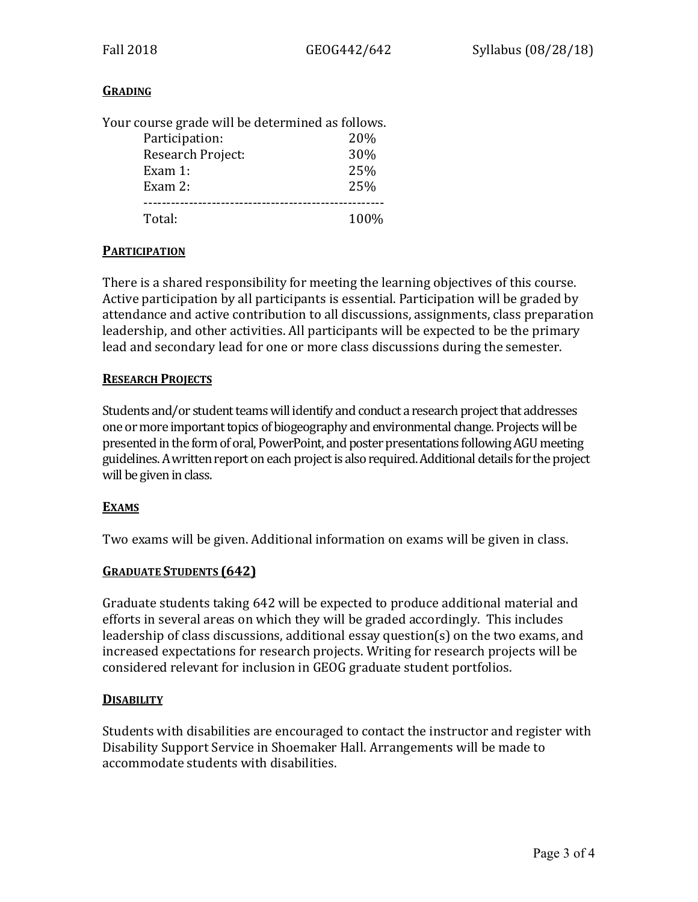## **GRADING**

| Your course grade will be determined as follows. |      |
|--------------------------------------------------|------|
| Participation:                                   | 20%  |
| Research Project:                                | 30%  |
| Exam $1:$                                        | 25%  |
| Exam $2:$                                        | 25%  |
|                                                  |      |
| Total:                                           | 100% |

#### **PARTICIPATION**

There is a shared responsibility for meeting the learning objectives of this course. Active participation by all participants is essential. Participation will be graded by attendance and active contribution to all discussions, assignments, class preparation leadership, and other activities. All participants will be expected to be the primary lead and secondary lead for one or more class discussions during the semester.

## **RESEARCH PROJECTS**

Students and/or student teams will identify and conduct a research project that addresses one or more important topics of biogeography and environmental change. Projects will be presented in the form of oral, PowerPoint, and poster presentations following AGU meeting guidelines. A written report on each project is also required. Additional details for the project will be given in class.

## **EXAMS**

Two exams will be given. Additional information on exams will be given in class.

## **GRADUATE STUDENTS (642)**

Graduate students taking 642 will be expected to produce additional material and efforts in several areas on which they will be graded accordingly. This includes leadership of class discussions, additional essay question(s) on the two exams, and increased expectations for research projects. Writing for research projects will be considered relevant for inclusion in GEOG graduate student portfolios.

#### **DISABILITY**

Students with disabilities are encouraged to contact the instructor and register with Disability Support Service in Shoemaker Hall. Arrangements will be made to accommodate students with disabilities.